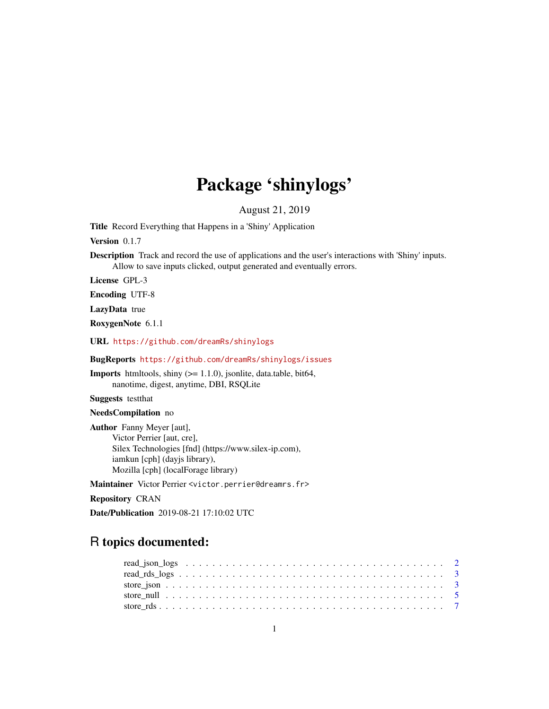## Package 'shinylogs'

August 21, 2019

Title Record Everything that Happens in a 'Shiny' Application

Version 0.1.7

Description Track and record the use of applications and the user's interactions with 'Shiny' inputs. Allow to save inputs clicked, output generated and eventually errors.

License GPL-3

Encoding UTF-8

LazyData true

RoxygenNote 6.1.1

URL <https://github.com/dreamRs/shinylogs>

BugReports <https://github.com/dreamRs/shinylogs/issues>

Imports htmltools, shiny (>= 1.1.0), jsonlite, data.table, bit64, nanotime, digest, anytime, DBI, RSQLite

Suggests testthat

NeedsCompilation no

Author Fanny Meyer [aut], Victor Perrier [aut, cre], Silex Technologies [fnd] (https://www.silex-ip.com), iamkun [cph] (dayjs library), Mozilla [cph] (localForage library)

Maintainer Victor Perrier <victor.perrier@dreamrs.fr>

Repository CRAN

Date/Publication 2019-08-21 17:10:02 UTC

### R topics documented: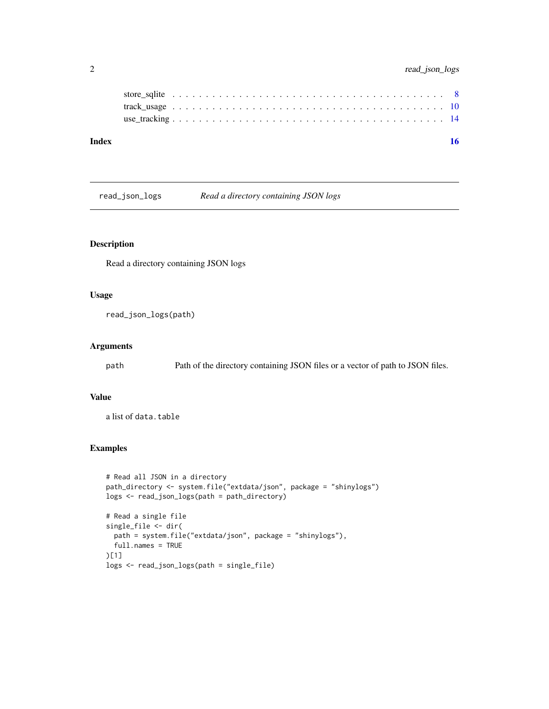#### <span id="page-1-0"></span>2 read\_json\_logs

read\_json\_logs *Read a directory containing JSON logs*

#### Description

Read a directory containing JSON logs

#### Usage

read\_json\_logs(path)

#### Arguments

path Path of the directory containing JSON files or a vector of path to JSON files.

#### Value

a list of data.table

```
# Read all JSON in a directory
path_directory <- system.file("extdata/json", package = "shinylogs")
logs <- read_json_logs(path = path_directory)
# Read a single file
single_file <- dir(
  path = system.file("extdata/json", package = "shinylogs"),
  full.names = TRUE
)[1]
logs <- read_json_logs(path = single_file)
```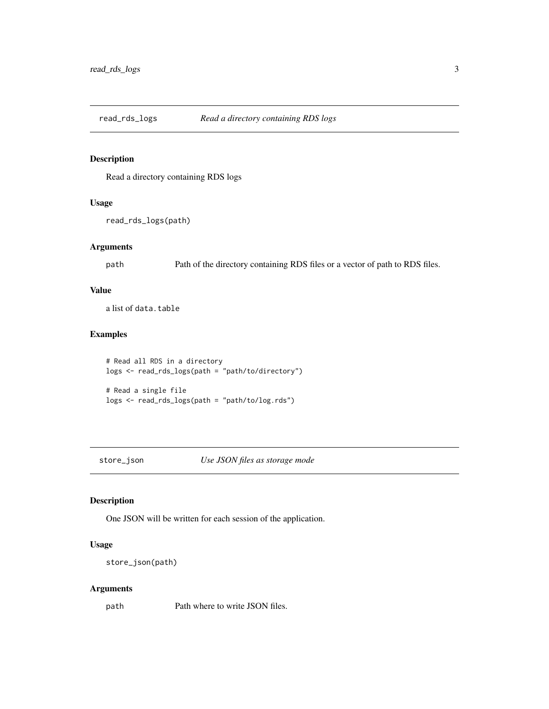<span id="page-2-0"></span>read\_rds\_logs *Read a directory containing RDS logs*

#### Description

Read a directory containing RDS logs

#### Usage

```
read_rds_logs(path)
```
#### Arguments

path Path of the directory containing RDS files or a vector of path to RDS files.

#### Value

a list of data.table

#### Examples

```
# Read all RDS in a directory
logs <- read_rds_logs(path = "path/to/directory")
```

```
# Read a single file
logs <- read_rds_logs(path = "path/to/log.rds")
```
<span id="page-2-1"></span>

store\_json *Use JSON files as storage mode*

#### Description

One JSON will be written for each session of the application.

#### Usage

store\_json(path)

#### Arguments

path Path where to write JSON files.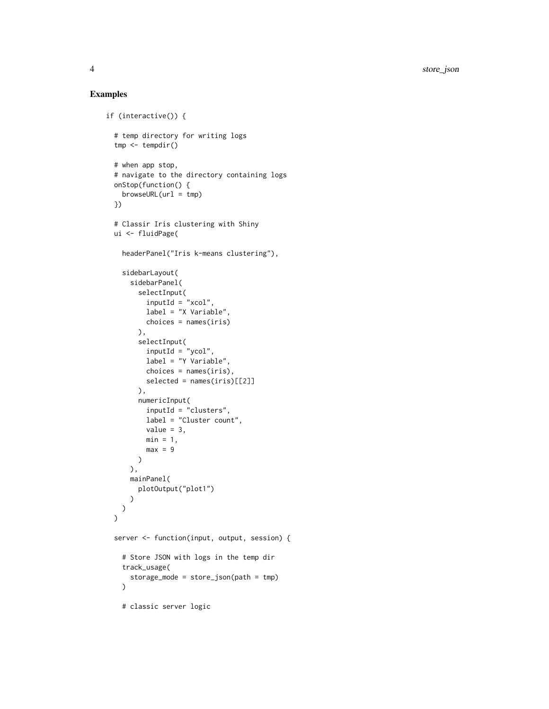```
if (interactive()) {
  # temp directory for writing logs
  tmp < - tempdir()
  # when app stop,
  # navigate to the directory containing logs
  onStop(function() {
   browseURL(url = tmp)
  })
  # Classir Iris clustering with Shiny
  ui <- fluidPage(
    headerPanel("Iris k-means clustering"),
    sidebarLayout(
      sidebarPanel(
        selectInput(
          inputId = "xcol",label = "X Variable",
         choices = names(iris)
        ),
        selectInput(
         inputId = "ycol",label = "Y Variable",
         choices = names(iris),
         selected = names(iris)[[2]]),
        numericInput(
          inputId = "clusters",
          label = "Cluster count",
          value = 3,
         min = 1,
         max = 9)
      ),
     mainPanel(
        plotOutput("plot1")
      )
   )
  \mathcal{L}server <- function(input, output, session) {
    # Store JSON with logs in the temp dir
    track_usage(
      storage_mode = store_json(path = tmp)
   )
    # classic server logic
```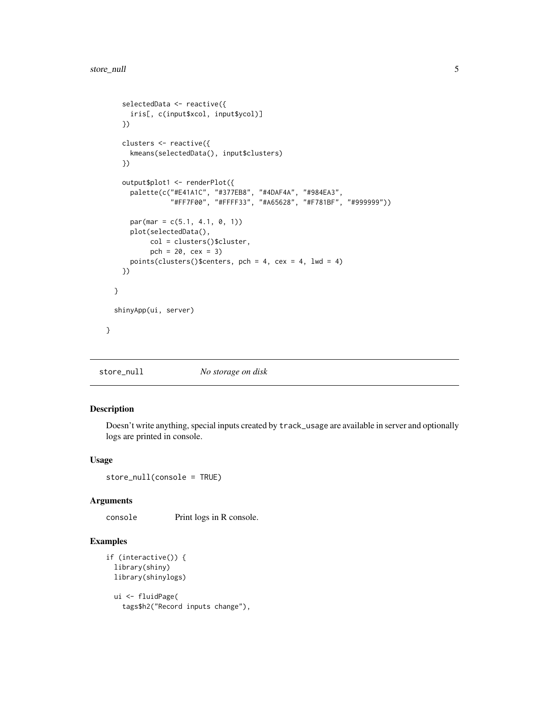```
selectedData <- reactive({
    iris[, c(input$xcol, input$ycol)]
  })
  clusters <- reactive({
   kmeans(selectedData(), input$clusters)
  })
  output$plot1 <- renderPlot({
    palette(c("#E41A1C", "#377EB8", "#4DAF4A", "#984EA3",
              "#FF7F00", "#FFFF33", "#A65628", "#F781BF", "#999999"))
    par(max = c(5.1, 4.1, 0, 1))plot(selectedData(),
         col = clusters()$cluster,
         pch = 20, cex = 3)points(clusters()$centers, pch = 4, cex = 4, lwd = 4)
  })
}
shinyApp(ui, server)
```
<span id="page-4-1"></span>store\_null *No storage on disk*

#### Description

}

Doesn't write anything, special inputs created by track\_usage are available in server and optionally logs are printed in console.

#### Usage

store\_null(console = TRUE)

#### Arguments

console Print logs in R console.

```
if (interactive()) {
 library(shiny)
 library(shinylogs)
 ui <- fluidPage(
    tags$h2("Record inputs change"),
```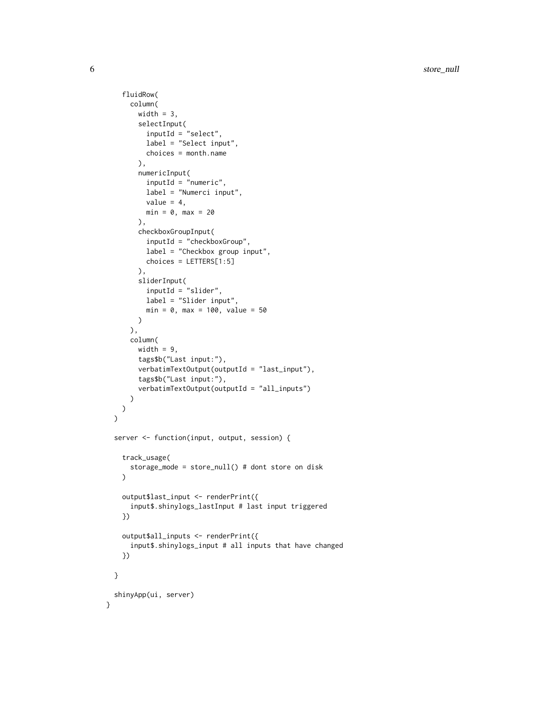```
fluidRow(
     column(
       width = 3,
       selectInput(
         inputId = "select",
         label = "Select input",
         choices = month.name
       ),
       numericInput(
         inputId = "numeric",
         label = "Numerci input",
         value = 4,min = 0, max = 20),
       checkboxGroupInput(
         inputId = "checkboxGroup",
         label = "Checkbox group input",
         choices = LETTERS[1:5]
       ),
       sliderInput(
         inputId = "slider",
         label = "Slider input",
         min = 0, max = 100, value = 50)
     ),
     column(
       width = 9,
       tags$b("Last input:"),
       verbatimTextOutput(outputId = "last_input"),
       tags$b("Last input:"),
       verbatimTextOutput(outputId = "all_inputs")
     )
   )
 )
 server <- function(input, output, session) {
    track_usage(
     storage_mode = store_null() # dont store on disk
    \lambdaoutput$last_input <- renderPrint({
     input$.shinylogs_lastInput # last input triggered
   })
   output$all_inputs <- renderPrint({
     input$.shinylogs_input # all inputs that have changed
   })
 }
 shinyApp(ui, server)
}
```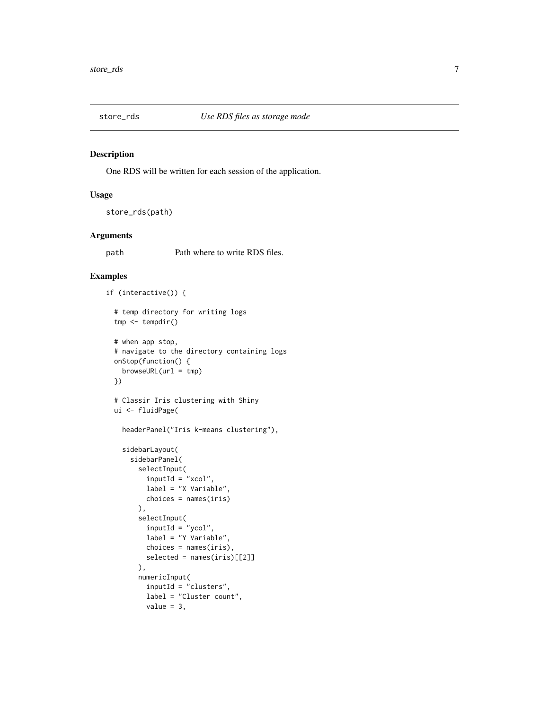<span id="page-6-1"></span><span id="page-6-0"></span>

#### Description

One RDS will be written for each session of the application.

#### Usage

```
store_rds(path)
```
#### Arguments

path Path where to write RDS files.

```
if (interactive()) {
 # temp directory for writing logs
 tmp < - tempdir()
 # when app stop,
 # navigate to the directory containing logs
 onStop(function() {
   browseURL(url = tmp)})
 # Classir Iris clustering with Shiny
 ui <- fluidPage(
   headerPanel("Iris k-means clustering"),
    sidebarLayout(
     sidebarPanel(
       selectInput(
         inputId = "xcol",
         label = "X Variable",
         choices = names(iris)
       ),
       selectInput(
         inputId = "ycol",label = "Y Variable",
         choices = names(iris),
         selected = names(iris)[[2]]
       ),
       numericInput(
         inputId = "clusters",
         label = "Cluster count",
         value = 3,
```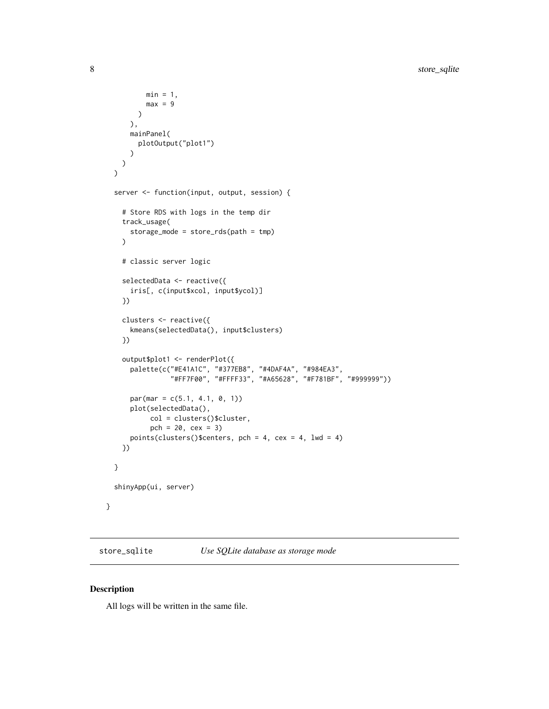```
min = 1,
       max = 9)
    ),
   mainPanel(
      plotOutput("plot1")
    )
 )
\mathcal{L}server <- function(input, output, session) {
  # Store RDS with logs in the temp dir
  track_usage(
    storage_mode = store_rds(path = tmp)
  )
  # classic server logic
  selectedData <- reactive({
   iris[, c(input$xcol, input$ycol)]
  })
  clusters <- reactive({
   kmeans(selectedData(), input$clusters)
  })
  output$plot1 <- renderPlot({
    palette(c("#E41A1C", "#377EB8", "#4DAF4A", "#984EA3",
              "#FF7F00", "#FFFF33", "#A65628", "#F781BF", "#999999"))
    par(max = c(5.1, 4.1, 0, 1))plot(selectedData(),
         col = clusters()$cluster,
         pch = 20, cex = 3)points(clusters()$centers, pch = 4, cex = 4, lwd = 4)
  })
}
shinyApp(ui, server)
```
<span id="page-7-1"></span>store\_sqlite *Use SQLite database as storage mode*

#### Description

}

All logs will be written in the same file.

<span id="page-7-0"></span>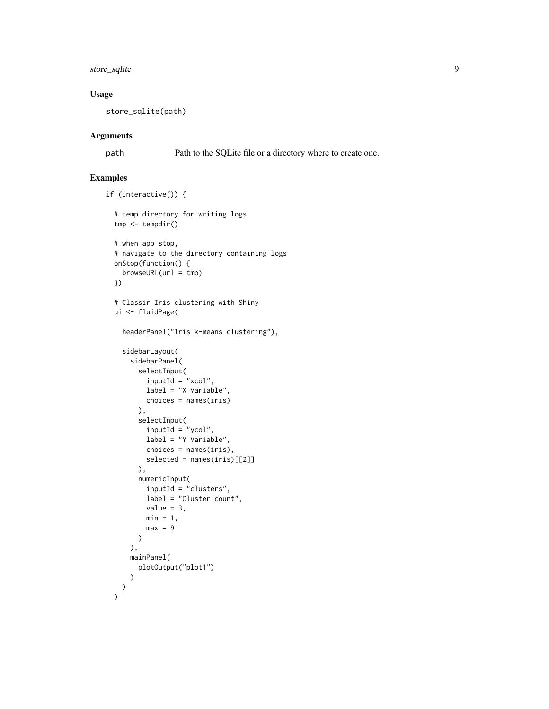store\_sqlite 9

#### Usage

store\_sqlite(path)

#### Arguments

path Path to the SQLite file or a directory where to create one.

```
if (interactive()) {
 # temp directory for writing logs
 tmp <- tempdir()
 # when app stop,
 # navigate to the directory containing logs
 onStop(function() {
   browseURL(url = tmp)
 })
 # Classir Iris clustering with Shiny
 ui <- fluidPage(
   headerPanel("Iris k-means clustering"),
   sidebarLayout(
     sidebarPanel(
       selectInput(
         inputId = "xcol",label = "X Variable",
         choices = names(iris)
       ),
       selectInput(
         inputId = "ycol",label = "Y Variable",
         choice = names(iris),
         selected = names(iris)[[2]]
       ),
       numericInput(
         inputId = "clusters",
         label = "Cluster count",
         value = 3,
         min = 1,
         max = 9)
     ),
     mainPanel(
       plotOutput("plot1")
     )
    )
  )
```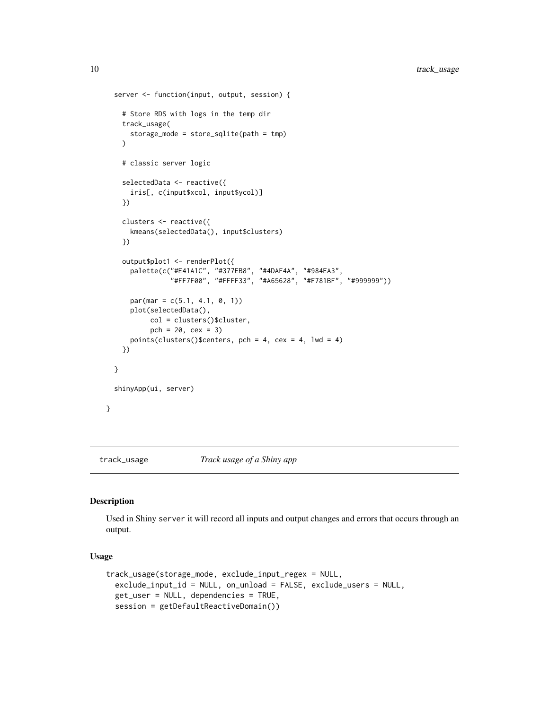```
server <- function(input, output, session) {
    # Store RDS with logs in the temp dir
   track_usage(
     storage_mode = store_sqlite(path = tmp)
   \lambda# classic server logic
   selectedData <- reactive({
     iris[, c(input$xcol, input$ycol)]
   })
   clusters <- reactive({
     kmeans(selectedData(), input$clusters)
   })
   output$plot1 <- renderPlot({
     palette(c("#E41A1C", "#377EB8", "#4DAF4A", "#984EA3",
                "#FF7F00", "#FFFF33", "#A65628", "#F781BF", "#999999"))
     par(max = c(5.1, 4.1, 0, 1))plot(selectedData(),
           col = clusters()$cluster,
           pch = 20, cex = 3)points(clusters()$centers, pch = 4, cex = 4, lwd = 4)
    })
 }
 shinyApp(ui, server)
}
```
<span id="page-9-1"></span>

track\_usage *Track usage of a Shiny app*

#### Description

Used in Shiny server it will record all inputs and output changes and errors that occurs through an output.

#### Usage

```
track_usage(storage_mode, exclude_input_regex = NULL,
 exclude_input_id = NULL, on_unload = FALSE, exclude_users = NULL,
 get_user = NULL, dependencies = TRUE,
 session = getDefaultReactiveDomain())
```
<span id="page-9-0"></span>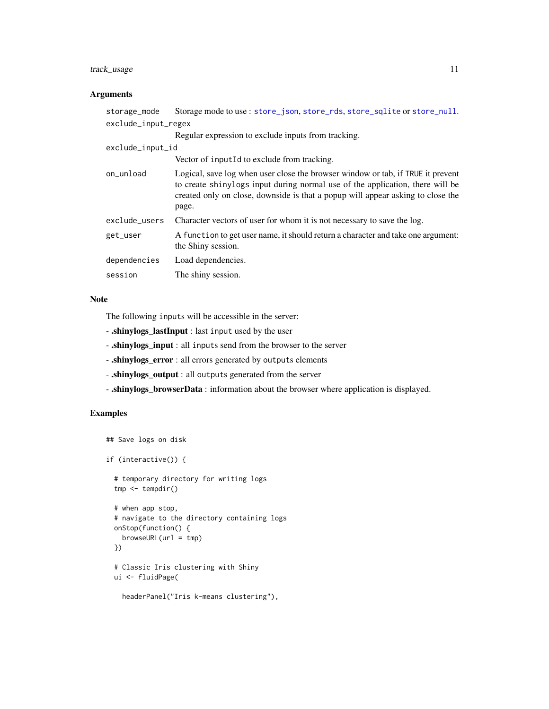#### <span id="page-10-0"></span>track\_usage 11

#### Arguments

| storage_mode        | Storage mode to use: store_json, store_rds, store_sqlite or store_null.                                                                                                                                                                                      |
|---------------------|--------------------------------------------------------------------------------------------------------------------------------------------------------------------------------------------------------------------------------------------------------------|
| exclude_input_regex |                                                                                                                                                                                                                                                              |
|                     | Regular expression to exclude inputs from tracking.                                                                                                                                                                                                          |
| exclude_input_id    |                                                                                                                                                                                                                                                              |
|                     | Vector of input Id to exclude from tracking.                                                                                                                                                                                                                 |
| on_unload           | Logical, save log when user close the browser window or tab, if TRUE it prevent<br>to create shinylogs input during normal use of the application, there will be<br>created only on close, downside is that a popup will appear asking to close the<br>page. |
| exclude_users       | Character vectors of user for whom it is not necessary to save the log.                                                                                                                                                                                      |
| get_user            | A function to get user name, it should return a character and take one argument:<br>the Shiny session.                                                                                                                                                       |
| dependencies        | Load dependencies.                                                                                                                                                                                                                                           |
| session             | The shiny session.                                                                                                                                                                                                                                           |
|                     |                                                                                                                                                                                                                                                              |

#### Note

The following inputs will be accessible in the server:

- .shinylogs\_lastInput : last input used by the user
- .shinylogs\_input : all inputs send from the browser to the server
- .shinylogs\_error : all errors generated by outputs elements
- .shinylogs\_output : all outputs generated from the server
- .shinylogs\_browserData : information about the browser where application is displayed.

```
## Save logs on disk
if (interactive()) {
  # temporary directory for writing logs
  tmp <- tempdir()
  # when app stop,
  # navigate to the directory containing logs
  onStop(function() {
   browseURL(url = tmp)
  })
  # Classic Iris clustering with Shiny
  ui <- fluidPage(
    headerPanel("Iris k-means clustering"),
```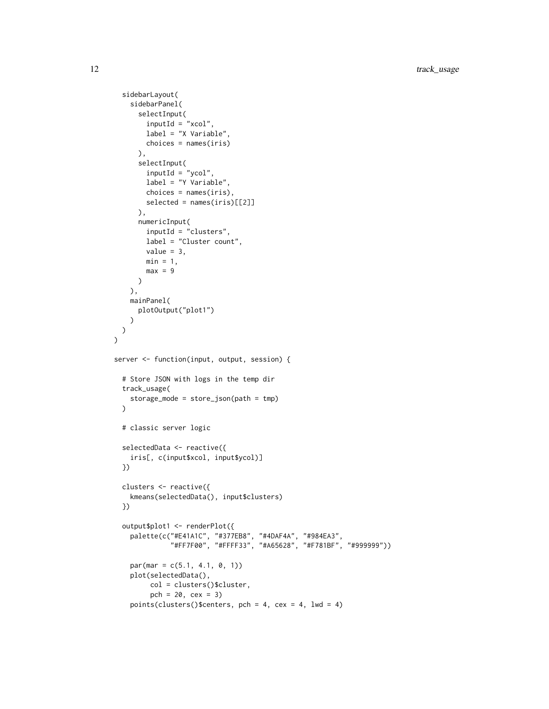```
sidebarLayout(
    sidebarPanel(
     selectInput(
       inputId = "xcol",label = "X Variable",
       choices = names(iris)
     ),
      selectInput(
       inputId = "ycol",label = "Y Variable",
       choices = names(iris),
       selected = names(iris)[[2]]
     ),
     numericInput(
       inputId = "clusters",
       label = "Cluster count",
       value = 3,
       min = 1,
       max = 9)
    ),
   mainPanel(
     plotOutput("plot1")
    )
 )
)
server <- function(input, output, session) {
  # Store JSON with logs in the temp dir
  track_usage(
    storage_mode = store_json(path = tmp)
  \lambda# classic server logic
  selectedData <- reactive({
    iris[, c(input$xcol, input$ycol)]
  })
  clusters <- reactive({
    kmeans(selectedData(), input$clusters)
  })
  output$plot1 <- renderPlot({
    palette(c("#E41A1C", "#377EB8", "#4DAF4A", "#984EA3",
              "#FF7F00", "#FFFF33", "#A65628", "#F781BF", "#999999"))
    par(max = c(5.1, 4.1, 0, 1))plot(selectedData(),
         col = clusters()$cluster,
         pch = 20, cex = 3)
    points(clusters()$centers, pch = 4, cex = 4, lwd = 4)
```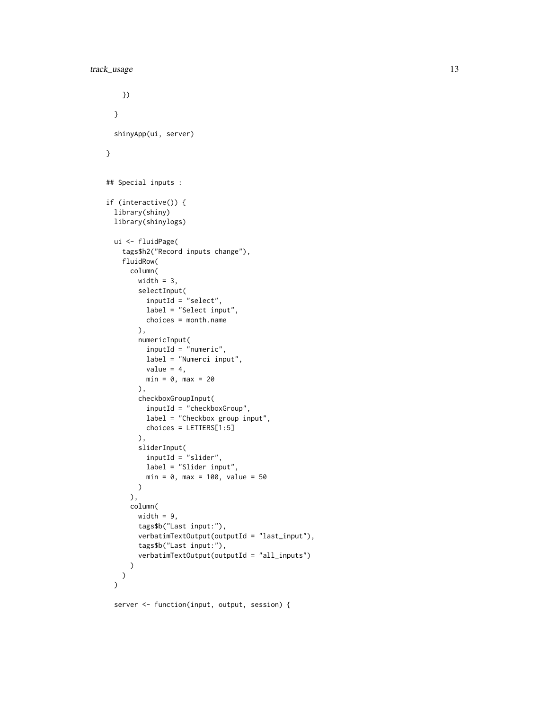```
})
  }
  shinyApp(ui, server)
}
## Special inputs :
if (interactive()) {
  library(shiny)
  library(shinylogs)
  ui <- fluidPage(
    tags$h2("Record inputs change"),
    fluidRow(
      column(
        width = 3,
        selectInput(
          inputId = "select",
          label = "Select input",
          choices = month.name
        ),
        numericInput(
          inputId = "numeric",
          label = "Numerci input",
          value = 4,
          min = 0, max = 20),
        checkboxGroupInput(
          inputId = "checkboxGroup",
          label = "Checkbox group input",
          choices = LETTERS[1:5]
        ),
        sliderInput(
          inputId = "slider",
          label = "Slider input",
          min = 0, max = 100, value = 50)
      ),
      column(
        width = 9,
        tags$b("Last input:"),
        verbatimTextOutput(outputId = "last_input"),
        tags$b("Last input:"),
        verbatimTextOutput(outputId = "all_inputs")
      )
   )
  \mathcal{L}
```
server <- function(input, output, session) {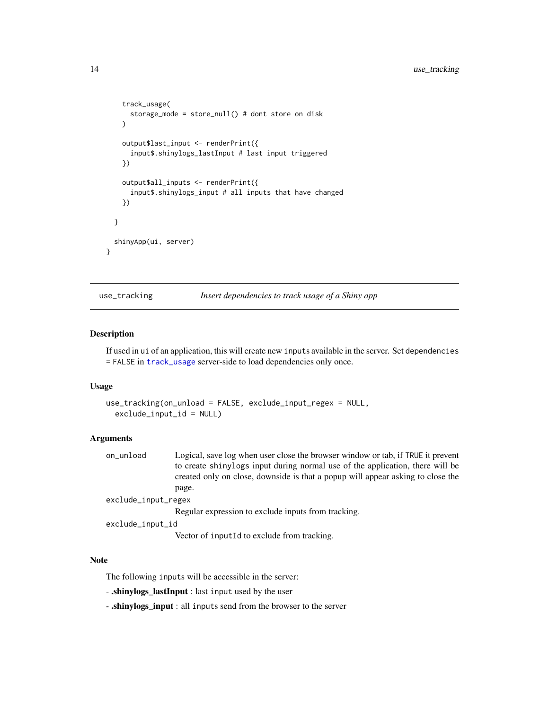```
track_usage(
    storage_mode = store_null() # dont store on disk
  )
  output$last_input <- renderPrint({
    input$.shinylogs_lastInput # last input triggered
  })
  output$all_inputs <- renderPrint({
    input$.shinylogs_input # all inputs that have changed
  })
}
shinyApp(ui, server)
```
use\_tracking *Insert dependencies to track usage of a Shiny app*

#### Description

}

If used in ui of an application, this will create new inputs available in the server. Set dependencies = FALSE in [track\\_usage](#page-9-1) server-side to load dependencies only once.

#### Usage

```
use_tracking(on_unload = FALSE, exclude_input_regex = NULL,
  exclude_input_id = NULL)
```
#### Arguments

on\_unload Logical, save log when user close the browser window or tab, if TRUE it prevent to create shinylogs input during normal use of the application, there will be created only on close, downside is that a popup will appear asking to close the page. exclude\_input\_regex Regular expression to exclude inputs from tracking.

exclude\_input\_id

Vector of inputId to exclude from tracking.

#### Note

The following inputs will be accessible in the server:

- .shinylogs\_lastInput : last input used by the user

- .shinylogs\_input : all inputs send from the browser to the server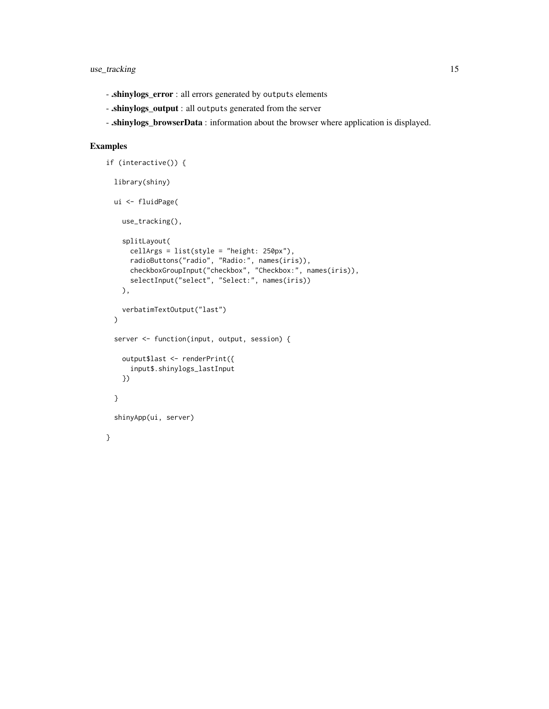- .shinylogs\_error : all errors generated by outputs elements
- .shinylogs\_output : all outputs generated from the server
- .shinylogs\_browserData : information about the browser where application is displayed.

```
if (interactive()) {
 library(shiny)
 ui <- fluidPage(
   use_tracking(),
   splitLayout(
      cellArgs = list(style = "height: 250px"),
      radioButtons("radio", "Radio:", names(iris)),
      checkboxGroupInput("checkbox", "Checkbox:", names(iris)),
      selectInput("select", "Select:", names(iris))
   ),
   verbatimTextOutput("last")
 \mathcal{L}server <- function(input, output, session) {
   output$last <- renderPrint({
      input$.shinylogs_lastInput
   })
 }
 shinyApp(ui, server)
}
```